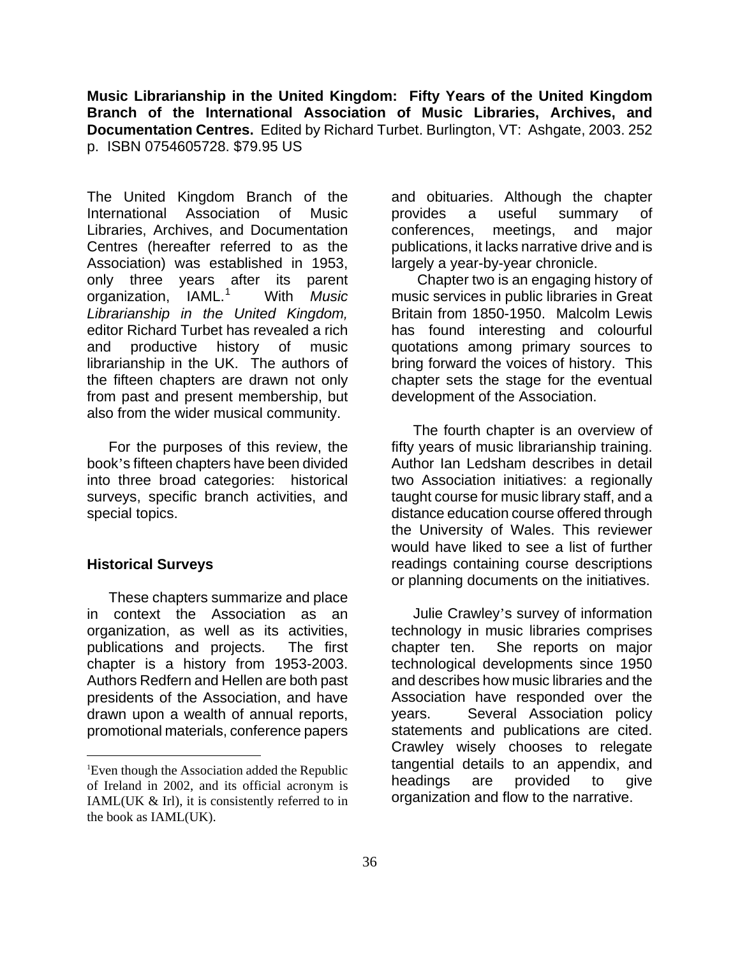**Music Librarianship in the United Kingdom: Fifty Years of the United Kingdom Branch of the International Association of Music Libraries, Archives, and Documentation Centres.** Edited by Richard Turbet. Burlington, VT: Ashgate, 2003. 252 p. ISBN 0754605728. \$79.95 US

The United Kingdom Branch of the International Association of Music Libraries, Archives, and Documentation Centres (hereafter referred to as the Association) was established in 1953, only three years after its parent organization, IAML.<sup>[1](#page-0-0)</sup> With *Music Librarianship in the United Kingdom,* editor Richard Turbet has revealed a rich and productive history of music librarianship in the UK. The authors of the fifteen chapters are drawn not only from past and present membership, but also from the wider musical community.

For the purposes of this review, the book's fifteen chapters have been divided into three broad categories: historical surveys, specific branch activities, and special topics.

## **Historical Surveys**

 $\overline{a}$ 

These chapters summarize and place in context the Association as an organization, as well as its activities, publications and projects. The first chapter is a history from 1953-2003. Authors Redfern and Hellen are both past presidents of the Association, and have drawn upon a wealth of annual reports, promotional materials, conference papers and obituaries. Although the chapter provides a useful summary of conferences, meetings, and major publications, it lacks narrative drive and is largely a year-by-year chronicle.

 Chapter two is an engaging history of music services in public libraries in Great Britain from 1850-1950. Malcolm Lewis has found interesting and colourful quotations among primary sources to bring forward the voices of history. This chapter sets the stage for the eventual development of the Association.

The fourth chapter is an overview of fifty years of music librarianship training. Author Ian Ledsham describes in detail two Association initiatives: a regionally taught course for music library staff, and a distance education course offered through the University of Wales. This reviewer would have liked to see a list of further readings containing course descriptions or planning documents on the initiatives.

Julie Crawley's survey of information technology in music libraries comprises chapter ten. She reports on major technological developments since 1950 and describes how music libraries and the Association have responded over the years. Several Association policy statements and publications are cited. Crawley wisely chooses to relegate tangential details to an appendix, and headings are provided to give organization and flow to the narrative.

<span id="page-0-0"></span><sup>&</sup>lt;sup>1</sup>Even though the Association added the Republic of Ireland in 2002, and its official acronym is IAML(UK & Irl), it is consistently referred to in the book as IAML(UK).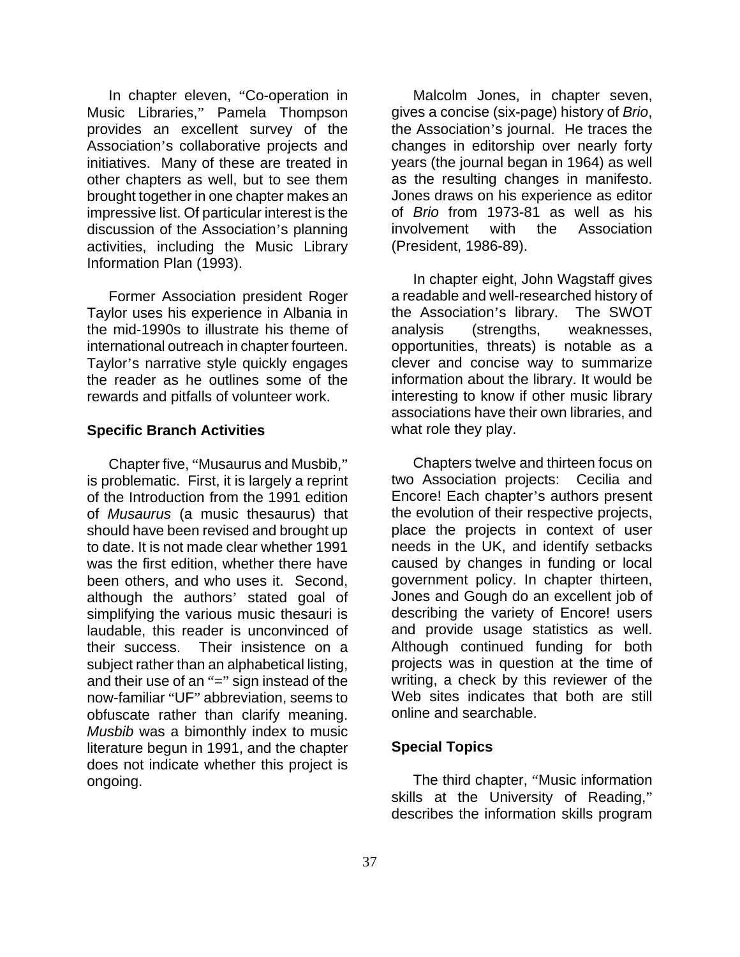In chapter eleven, "Co-operation in Music Libraries," Pamela Thompson provides an excellent survey of the Association's collaborative projects and initiatives. Many of these are treated in other chapters as well, but to see them brought together in one chapter makes an impressive list. Of particular interest is the discussion of the Association's planning activities, including the Music Library Information Plan (1993).

Former Association president Roger Taylor uses his experience in Albania in the mid-1990s to illustrate his theme of international outreach in chapter fourteen. Taylor's narrative style quickly engages the reader as he outlines some of the rewards and pitfalls of volunteer work.

## **Specific Branch Activities**

Chapter five, "Musaurus and Musbib," is problematic. First, it is largely a reprint of the Introduction from the 1991 edition of *Musaurus* (a music thesaurus) that should have been revised and brought up to date. It is not made clear whether 1991 was the first edition, whether there have been others, and who uses it. Second, although the authors' stated goal of simplifying the various music thesauri is laudable, this reader is unconvinced of their success. Their insistence on a subject rather than an alphabetical listing, and their use of an "=" sign instead of the now-familiar "UF" abbreviation, seems to obfuscate rather than clarify meaning. *Musbib* was a bimonthly index to music literature begun in 1991, and the chapter does not indicate whether this project is ongoing.

Malcolm Jones, in chapter seven, gives a concise (six-page) history of *Brio*, the Association's journal. He traces the changes in editorship over nearly forty years (the journal began in 1964) as well as the resulting changes in manifesto. Jones draws on his experience as editor of *Brio* from 1973-81 as well as his involvement with the Association (President, 1986-89).

In chapter eight, John Wagstaff gives a readable and well-researched history of the Association's library. The SWOT analysis (strengths, weaknesses, opportunities, threats) is notable as a clever and concise way to summarize information about the library. It would be interesting to know if other music library associations have their own libraries, and what role they play.

Chapters twelve and thirteen focus on two Association projects: Cecilia and Encore! Each chapter's authors present the evolution of their respective projects, place the projects in context of user needs in the UK, and identify setbacks caused by changes in funding or local government policy. In chapter thirteen, Jones and Gough do an excellent job of describing the variety of Encore! users and provide usage statistics as well. Although continued funding for both projects was in question at the time of writing, a check by this reviewer of the Web sites indicates that both are still online and searchable.

## **Special Topics**

The third chapter, "Music information skills at the University of Reading," describes the information skills program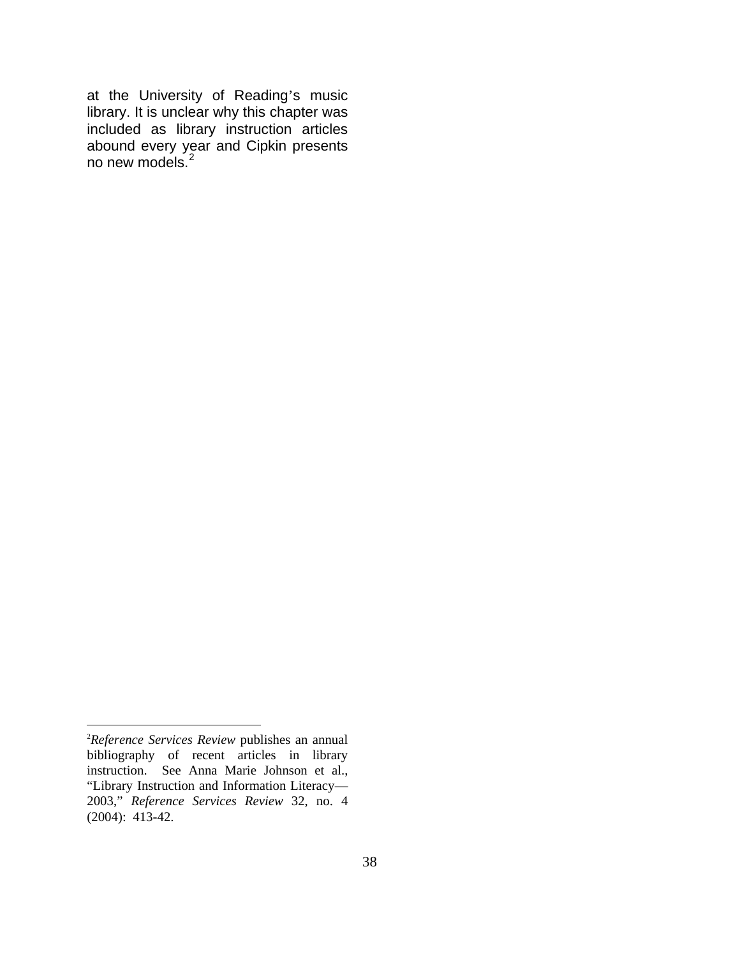at the University of Reading's music library. It is unclear why this chapter was included as library instruction articles abound every year and Cipkin presents no new models.<sup>[2](#page-2-0)</sup>

 $\overline{a}$ 

<span id="page-2-0"></span><sup>2</sup> *Reference Services Review* publishes an annual bibliography of recent articles in library instruction. See Anna Marie Johnson et al., "Library Instruction and Information Literacy— 2003," *Reference Services Review* 32, no. 4 (2004): 413-42.